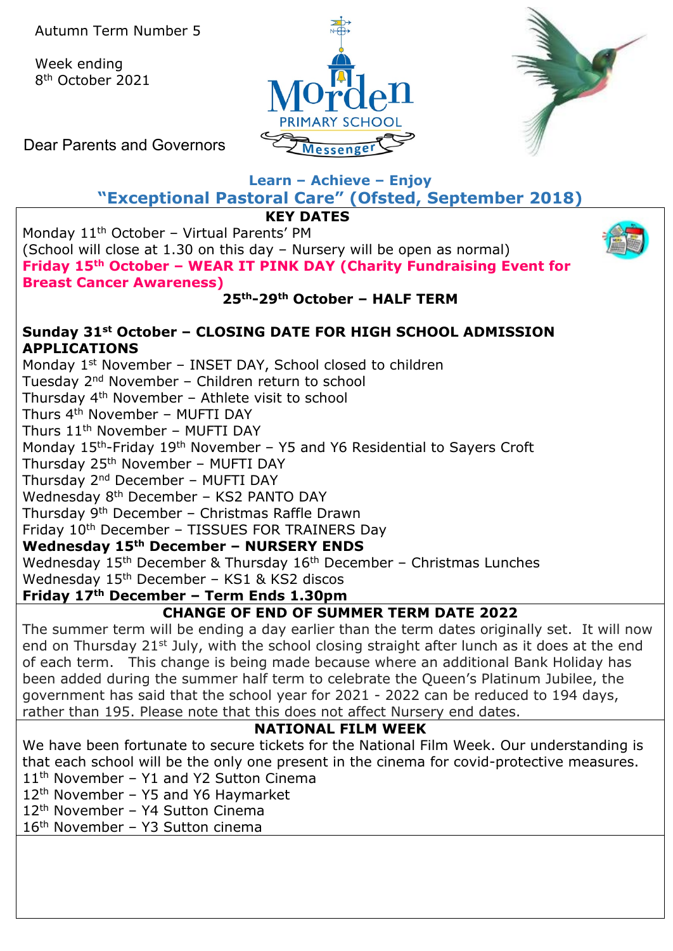Week ending 8th October 2021





Dear Parents and Governors

# **Learn – Achieve – Enjoy**

**"Exceptional Pastoral Care" (Ofsted, September 2018)**

**KEY DATES**

Monday 11<sup>th</sup> October - Virtual Parents' PM (School will close at 1.30 on this day – Nursery will be open as normal) **Friday 15th October – WEAR IT PINK DAY (Charity Fundraising Event for Breast Cancer Awareness)**

**25th-29th October – HALF TERM**

### **Sunday 31st October – CLOSING DATE FOR HIGH SCHOOL ADMISSION APPLICATIONS**

Monday 1<sup>st</sup> November - INSET DAY, School closed to children Tuesday 2nd November – Children return to school Thursday 4th November – Athlete visit to school Thurs 4th November – MUFTI DAY Thurs  $11<sup>th</sup>$  November – MUFTI DAY Monday 15<sup>th</sup>-Friday 19<sup>th</sup> November – Y5 and Y6 Residential to Sayers Croft Thursday 25<sup>th</sup> November - MUFTI DAY Thursday 2nd December – MUFTI DAY Wednesday 8<sup>th</sup> December - KS2 PANTO DAY Thursday 9th December – Christmas Raffle Drawn Friday 10<sup>th</sup> December - TISSUES FOR TRAINERS Day **Wednesday 15th December – NURSERY ENDS** Wednesday  $15<sup>th</sup>$  December & Thursday  $16<sup>th</sup>$  December – Christmas Lunches Wednesday 15<sup>th</sup> December - KS1 & KS2 discos

# **Friday 17th December – Term Ends 1.30pm**

### **CHANGE OF END OF SUMMER TERM DATE 2022**

The summer term will be ending a day earlier than the term dates originally set. It will now end on Thursday 21<sup>st</sup> July, with the school closing straight after lunch as it does at the end of each term. This change is being made because where an additional Bank Holiday has been added during the summer half term to celebrate the Queen's Platinum Jubilee, the government has said that the school year for 2021 - 2022 can be reduced to 194 days, rather than 195. Please note that this does not affect Nursery end dates.

### **NATIONAL FILM WEEK**

We have been fortunate to secure tickets for the National Film Week. Our understanding is that each school will be the only one present in the cinema for covid-protective measures.

- 11<sup>th</sup> November Y1 and Y2 Sutton Cinema
- 12<sup>th</sup> November Y5 and Y6 Haymarket
- 12th November Y4 Sutton Cinema
- 16th November Y3 Sutton cinema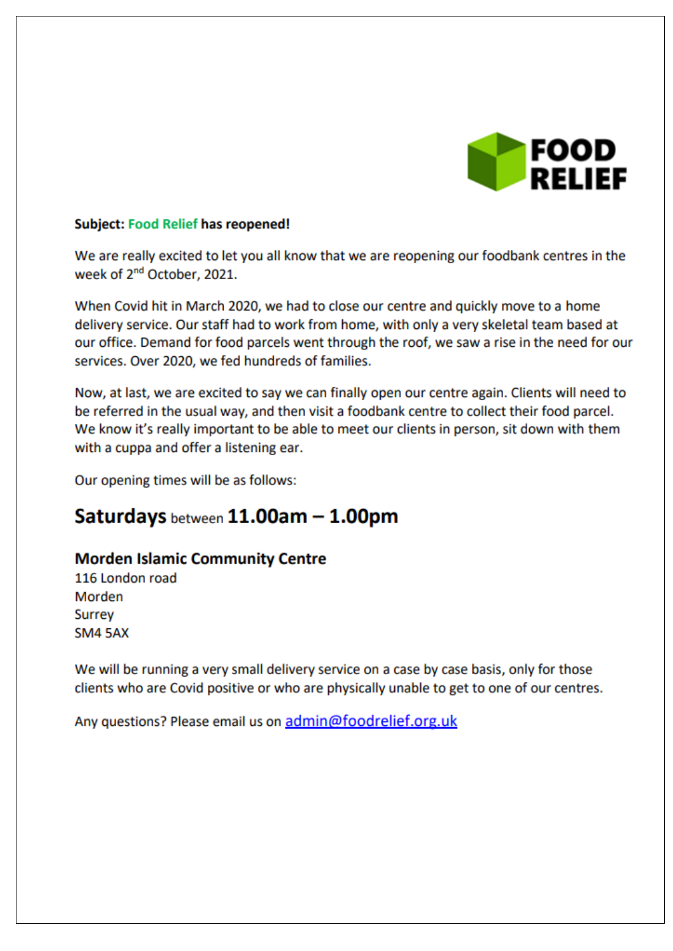

#### **Subject: Food Relief has reopened!**

We are really excited to let you all know that we are reopening our foodbank centres in the week of 2<sup>nd</sup> October, 2021.

When Covid hit in March 2020, we had to close our centre and quickly move to a home delivery service. Our staff had to work from home, with only a very skeletal team based at our office. Demand for food parcels went through the roof, we saw a rise in the need for our services. Over 2020, we fed hundreds of families.

Now, at last, we are excited to say we can finally open our centre again. Clients will need to be referred in the usual way, and then visit a foodbank centre to collect their food parcel. We know it's really important to be able to meet our clients in person, sit down with them with a cuppa and offer a listening ear.

Our opening times will be as follows:

# Saturdays between 11.00am - 1.00pm

### **Morden Islamic Community Centre**

116 London road Morden Surrey **SM4 5AX** 

We will be running a very small delivery service on a case by case basis, only for those clients who are Covid positive or who are physically unable to get to one of our centres.

Any questions? Please email us on admin@foodrelief.org.uk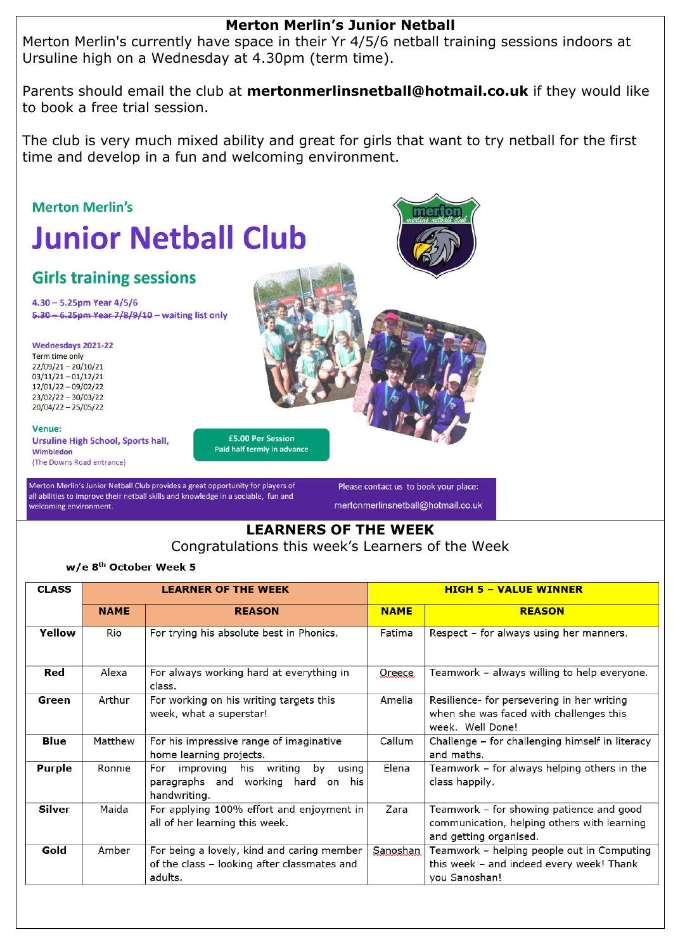### **Merton Merlin's Junior Netball**

Merton Merlin's currently have space in their Yr 4/5/6 netball training sessions indoors at Ursuline high on a Wednesday at 4.30pm (term time).

Parents should email the club at **mertonmerlinsnetball@hotmail.co.uk** if they would like to book a free trial session.

The club is very much mixed ability and great for girls that want to try netball for the first time and develop in a fun and welcoming environment.



Congratulations this week's Learners of the Week

#### w/e 8<sup>th</sup> October Week 5

| <b>CLASS</b>  |             | <b>LEARNER OF THE WEEK</b>                                                                           | <b>HIGH 5 - VALUE WINNER</b> |                                                                                                                   |  |
|---------------|-------------|------------------------------------------------------------------------------------------------------|------------------------------|-------------------------------------------------------------------------------------------------------------------|--|
|               | <b>NAME</b> | <b>REASON</b>                                                                                        | <b>NAME</b>                  | <b>REASON</b>                                                                                                     |  |
| Yellow        | Rio         | For trying his absolute best in Phonics.                                                             | Fatima                       | Respect – for always using her manners.                                                                           |  |
| Red           | Alexa       | For always working hard at everything in<br>class.                                                   | Oreece                       | Teamwork - always willing to help everyone.                                                                       |  |
| Green         | Arthur      | For working on his writing targets this<br>week, what a superstar!                                   | Amelia                       | Resilience- for persevering in her writing<br>when she was faced with challenges this<br>week. Well Done!         |  |
| Blue          | Matthew     | For his impressive range of imaginative<br>home learning projects.                                   | Callum                       | Challenge – for challenging himself in literacy<br>and maths.                                                     |  |
| <b>Purple</b> | Ronnie      | For improving his writing<br>by<br>using<br>paragraphs and working hard on his<br>handwriting.       | Elena                        | Teamwork - for always helping others in the<br>class happily.                                                     |  |
| Silver        | Maida       | For applying 100% effort and enjoyment in<br>all of her learning this week.                          | Zara                         | Teamwork - for showing patience and good<br>communication, helping others with learning<br>and getting organised. |  |
| Gold          | Amber       | For being a lovely, kind and caring member<br>of the class - looking after classmates and<br>adults. | Sanoshan                     | Teamwork - helping people out in Computing<br>this week - and indeed every week! Thank<br>you Sanoshan!           |  |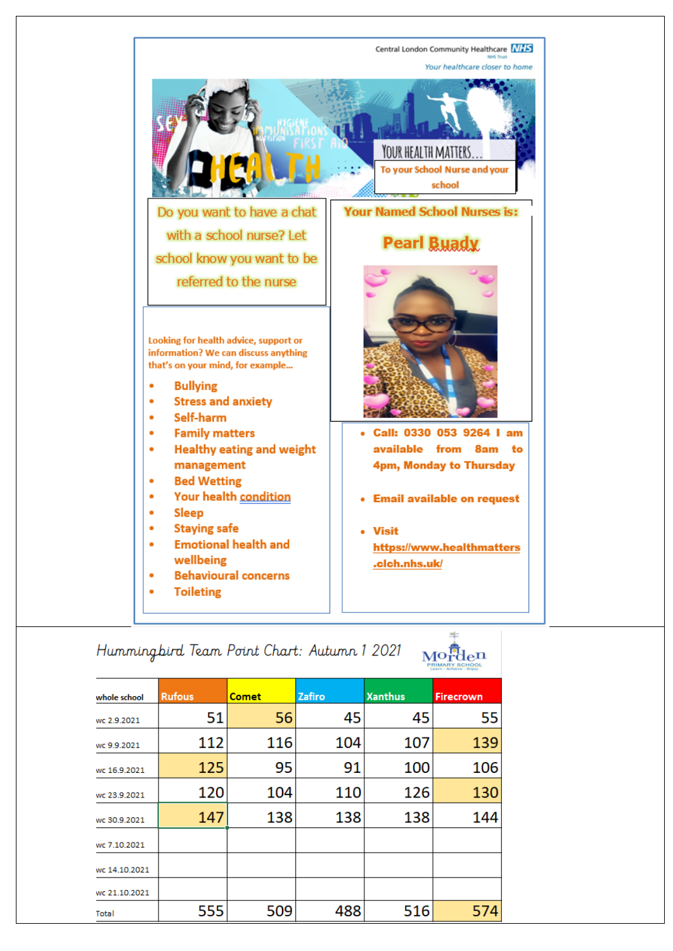

## Hummingbird Team Point Chart: Autumn 1 2021

| whole school  | <b>Rufous</b> | <b>Comet</b> | Zafiro | <b>Xanthus</b> | <b>Firecrown</b> |  |
|---------------|---------------|--------------|--------|----------------|------------------|--|
| wc 2.9.2021   | 51            | 56           | 45     | 45             | 55               |  |
| wc 9.9.2021   | 112           | 116          | 104    | 107            | 139              |  |
| wc 16.9.2021  | 125           | 95           | 91     | 100            | 106              |  |
| wc 23.9.2021  | 120           | 104          | 110    | 126            | 130              |  |
| wc 30.9.2021  | 147           | 138          | 138    | 138            | 144              |  |
| wc 7.10.2021  |               |              |        |                |                  |  |
| wc 14.10.2021 |               |              |        |                |                  |  |
| wc 21.10.2021 |               |              |        |                |                  |  |
| Total         | 555           | 509          | 488    | 516            | 574              |  |